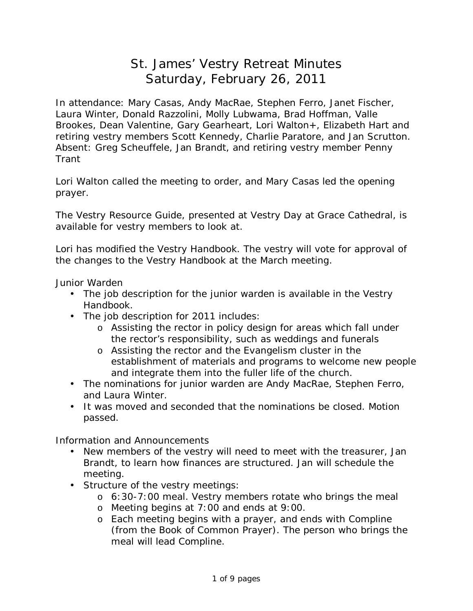## St. James' Vestry Retreat Minutes Saturday, February 26, 2011

In attendance: Mary Casas, Andy MacRae, Stephen Ferro, Janet Fischer, Laura Winter, Donald Razzolini, Molly Lubwama, Brad Hoffman, Valle Brookes, Dean Valentine, Gary Gearheart, Lori Walton+, Elizabeth Hart and retiring vestry members Scott Kennedy, Charlie Paratore, and Jan Scrutton. Absent: Greg Scheuffele, Jan Brandt, and retiring vestry member Penny Trant

Lori Walton called the meeting to order, and Mary Casas led the opening prayer.

The *Vestry Resource Guide*, presented at Vestry Day at Grace Cathedral, is available for vestry members to look at.

Lori has modified the *Vestry Handbook*. The vestry will vote for approval of the changes to the *Vestry Handbook* at the March meeting.

Junior Warden

- The job description for the junior warden is available in the *Vestry Handbook*.
- The job description for 2011 includes:
	- o Assisting the rector in policy design for areas which fall under the rector's responsibility, such as weddings and funerals
	- o Assisting the rector and the Evangelism cluster in the establishment of materials and programs to welcome new people and integrate them into the fuller life of the church.
- The nominations for junior warden are Andy MacRae, Stephen Ferro, and Laura Winter.
- It was moved and seconded that the nominations be closed. Motion passed.

Information and Announcements

- New members of the vestry will need to meet with the treasurer, Jan Brandt, to learn how finances are structured. Jan will schedule the meeting.
- Structure of the vestry meetings:
	- $\circ$  6:30-7:00 meal. Vestry members rotate who brings the meal
	- o Meeting begins at 7:00 and ends at 9:00.
	- o Each meeting begins with a prayer, and ends with Compline (from the Book of Common Prayer). The person who brings the meal will lead Compline.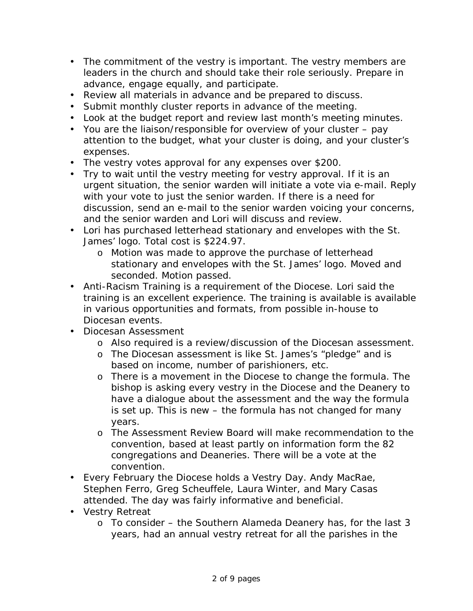- The commitment of the vestry is important. The vestry members are leaders in the church and should take their role seriously. Prepare in advance, engage equally, and participate.
- Review all materials in advance and be prepared to discuss.
- Submit monthly cluster reports in advance of the meeting.
- Look at the budget report and review last month's meeting minutes.
- You are the liaison/responsible for overview of your cluster pay attention to the budget, what your cluster is doing, and your cluster's expenses.
- The vestry votes approval for any expenses over \$200.
- Try to wait until the vestry meeting for vestry approval. If it is an urgent situation, the senior warden will initiate a vote via e-mail. Reply with your vote to just the senior warden. If there is a need for discussion, send an e-mail to the senior warden voicing your concerns, and the senior warden and Lori will discuss and review.
- Lori has purchased letterhead stationary and envelopes with the St. James' logo. Total cost is \$224.97.
	- o Motion was made to approve the purchase of letterhead stationary and envelopes with the St. James' logo. Moved and seconded. Motion passed.
- Anti-Racism Training is a requirement of the Diocese. Lori said the training is an excellent experience. The training is available is available in various opportunities and formats, from possible in-house to Diocesan events.
- Diocesan Assessment
	- o Also required is a review/discussion of the Diocesan assessment.
	- o The Diocesan assessment is like St. James's "pledge" and is based on income, number of parishioners, etc.
	- o There is a movement in the Diocese to change the formula. The bishop is asking every vestry in the Diocese and the Deanery to have a dialogue about the assessment and the way the formula is set up. This is new – the formula has not changed for many years.
	- o The Assessment Review Board will make recommendation to the convention, based at least partly on information form the 82 congregations and Deaneries. There will be a vote at the convention.
- Every February the Diocese holds a Vestry Day. Andy MacRae, Stephen Ferro, Greg Scheuffele, Laura Winter, and Mary Casas attended. The day was fairly informative and beneficial.
- Vestry Retreat
	- $\circ$  To consider the Southern Alameda Deanery has, for the last 3 years, had an annual vestry retreat for all the parishes in the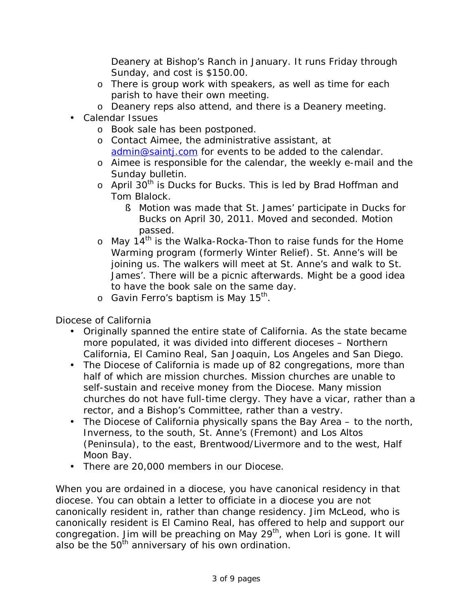Deanery at Bishop's Ranch in January. It runs Friday through Sunday, and cost is \$150.00.

- o There is group work with speakers, as well as time for each parish to have their own meeting.
- o Deanery reps also attend, and there is a Deanery meeting.
- Calendar Issues
	- o Book sale has been postponed.
	- o Contact Aimee, the administrative assistant, at [admin@saintj.com](mailto:admin@saintj.com) for events to be added to the calendar.
	- o Aimee is responsible for the calendar, the weekly e-mail and the Sunday bulletin.
	- $\circ$  April 30<sup>th</sup> is Ducks for Bucks. This is led by Brad Hoffman and Tom Blalock.
		- § Motion was made that St. James' participate in Ducks for Bucks on April 30, 2011. Moved and seconded. Motion passed.
	- $\circ$  May 14<sup>th</sup> is the Walka-Rocka-Thon to raise funds for the Home Warming program (formerly Winter Relief). St. Anne's will be joining us. The walkers will meet at St. Anne's and walk to St. James'. There will be a picnic afterwards. Might be a good idea to have the book sale on the same day.
	- $\,\circ\,$  Gavin Ferro's baptism is May 15 $^{\sf th}$ .

Diocese of California

- Originally spanned the entire state of California. As the state became more populated, it was divided into different dioceses – Northern California, El Camino Real, San Joaquin, Los Angeles and San Diego.
- The Diocese of California is made up of 82 congregations, more than half of which are mission churches. Mission churches are unable to self-sustain and receive money from the Diocese. Many mission churches do not have full-time clergy. They have a vicar, rather than a rector, and a Bishop's Committee, rather than a vestry.
- The Diocese of California physically spans the Bay Area to the north, Inverness, to the south, St. Anne's (Fremont) and Los Altos (Peninsula), to the east, Brentwood/Livermore and to the west, Half Moon Bay.
- There are 20,000 members in our Diocese.

When you are ordained in a diocese, you have canonical residency in that diocese. You can obtain a letter to officiate in a diocese you are not canonically resident in, rather than change residency. Jim McLeod, who is canonically resident is El Camino Real, has offered to help and support our congregation. Jim will be preaching on May 29<sup>th</sup>, when Lori is gone. It will also be the  $50<sup>th</sup>$  anniversary of his own ordination.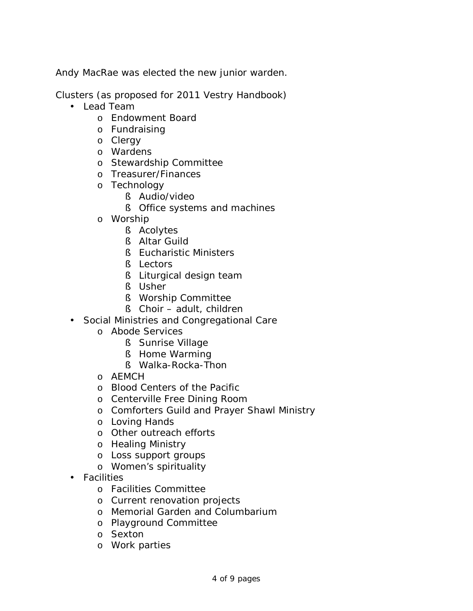Andy MacRae was elected the new junior warden.

Clusters (as proposed for 2011 *Vestry Handbook*)

- Lead Team
	- o Endowment Board
	- o Fundraising
	- o Clergy
	- o Wardens
	- o Stewardship Committee
	- o Treasurer/Finances
	- o Technology
		- § Audio/video
		- § Office systems and machines
	- o Worship
		- § Acolytes
		- § Altar Guild
		- § Eucharistic Ministers
		- § Lectors
		- § Liturgical design team
		- § Usher
		- § Worship Committee
		- § Choir adult, children
- Social Ministries and Congregational Care
	- o Abode Services
		- § Sunrise Village
		- § Home Warming
		- § Walka-Rocka-Thon
	- o AEMCH
	- o Blood Centers of the Pacific
	- o Centerville Free Dining Room
	- o Comforters Guild and Prayer Shawl Ministry
	- o Loving Hands
	- o Other outreach efforts
	- o Healing Ministry
	- o Loss support groups
	- o Women's spirituality
- Facilities
	- o Facilities Committee
	- o Current renovation projects
	- o Memorial Garden and Columbarium
	- o Playground Committee
	- o Sexton
	- o Work parties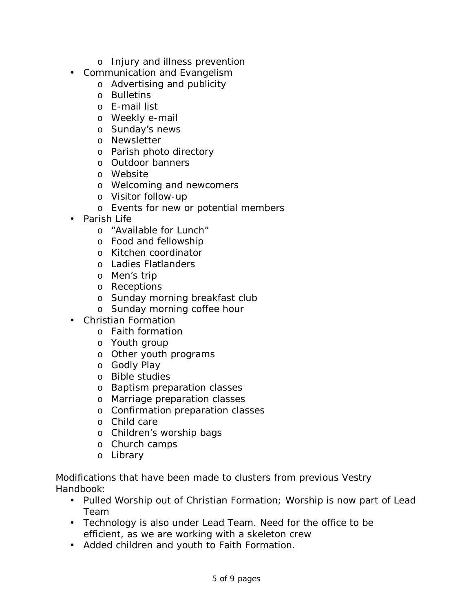- o Injury and illness prevention
- Communication and Evangelism
	- o Advertising and publicity
	- o Bulletins
	- o E-mail list
	- o Weekly e-mail
	- o Sunday's news
	- o Newsletter
	- o Parish photo directory
	- o Outdoor banners
	- o Website
	- o Welcoming and newcomers
	- o Visitor follow-up
	- o Events for new or potential members
- Parish Life
	- o "Available for Lunch"
	- o Food and fellowship
	- o Kitchen coordinator
	- o Ladies Flatlanders
	- o Men's trip
	- o Receptions
	- o Sunday morning breakfast club
	- o Sunday morning coffee hour
- Christian Formation
	- o Faith formation
	- o Youth group
	- o Other youth programs
	- o Godly Play
	- o Bible studies
	- o Baptism preparation classes
	- o Marriage preparation classes
	- o Confirmation preparation classes
	- o Child care
	- o Children's worship bags
	- o Church camps
	- o Library

Modifications that have been made to clusters from previous *Vestry Handbook*:

- Pulled Worship out of Christian Formation; Worship is now part of Lead Team
- Technology is also under Lead Team. Need for the office to be efficient, as we are working with a skeleton crew
- Added children and youth to Faith Formation.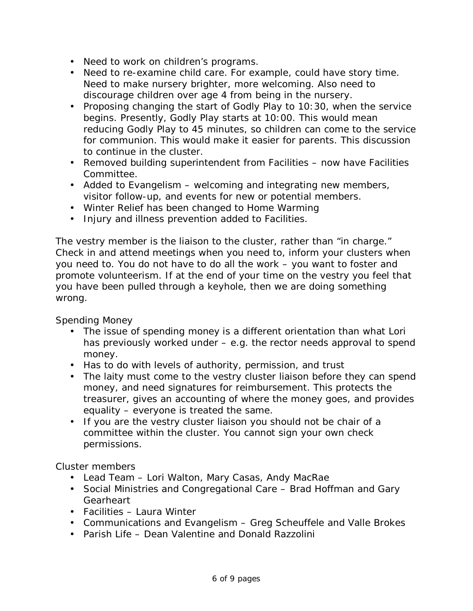- Need to work on children's programs.
- Need to re-examine child care. For example, could have story time. Need to make nursery brighter, more welcoming. Also need to discourage children over age 4 from being in the nursery.
- Proposing changing the start of Godly Play to 10:30, when the service begins. Presently, Godly Play starts at 10:00. This would mean reducing Godly Play to 45 minutes, so children can come to the service for communion. This would make it easier for parents. This discussion to continue in the cluster.
- Removed building superintendent from Facilities now have Facilities Committee.
- Added to Evangelism welcoming and integrating new members, visitor follow-up, and events for new or potential members.
- Winter Relief has been changed to Home Warming
- Injury and illness prevention added to Facilities.

The vestry member is the liaison to the cluster, rather than "in charge." Check in and attend meetings when you need to, inform your clusters when you need to. You do not have to do all the work – you want to foster and promote volunteerism. If at the end of your time on the vestry you feel that you have been pulled through a keyhole, then we are doing something wrong.

Spending Money

- The issue of spending money is a different orientation than what Lori has previously worked under – e.g. the rector needs approval to spend money.
- Has to do with levels of authority, permission, and trust
- The laity must come to the vestry cluster liaison before they can spend money, and need signatures for reimbursement. This protects the treasurer, gives an accounting of where the money goes, and provides equality – everyone is treated the same.
- If you are the vestry cluster liaison you should not be chair of a committee within the cluster. You cannot sign your own check permissions.

Cluster members

- Lead Team Lori Walton, Mary Casas, Andy MacRae
- Social Ministries and Congregational Care Brad Hoffman and Gary **Gearheart**
- Facilities Laura Winter
- Communications and Evangelism Greg Scheuffele and Valle Brokes
- Parish Life Dean Valentine and Donald Razzolini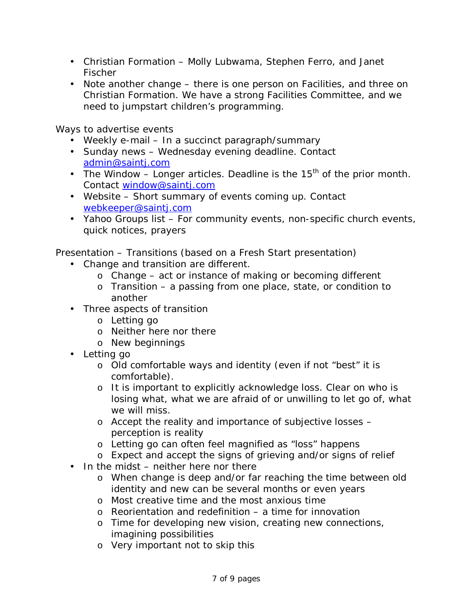- Christian Formation Molly Lubwama, Stephen Ferro, and Janet Fischer
- Note another change there is one person on Facilities, and three on Christian Formation. We have a strong Facilities Committee, and we need to jumpstart children's programming.

Ways to advertise events

- Weekly e-mail In a succinct paragraph/summary
- Sunday news Wednesday evening deadline. Contact [admin@saintj.com](mailto:admin@saintj.com)
- The Window  $-$  Longer articles. Deadline is the 15<sup>th</sup> of the prior month. Contact [window@saintj.com](mailto:window@saintj.com)
- Website Short summary of events coming up. Contact [webkeeper@saintj.com](mailto:webkeeper@saintj.com)
- Yahoo Groups list For community events, non-specific church events, quick notices, prayers

Presentation – Transitions (based on a Fresh Start presentation)

- Change and transition are different.
	- o Change act or instance of making or becoming different
	- o Transition a passing from one place, state, or condition to another
- Three aspects of transition
	- o Letting go
	- o Neither here nor there
	- o New beginnings
- Letting go
	- o Old comfortable ways and identity (even if not "best" it is comfortable).
	- o It is important to explicitly acknowledge loss. Clear on who is losing what, what we are afraid of or unwilling to let go of, what we will miss.
	- o Accept the reality and importance of subjective losses perception is reality
	- o Letting go can often feel magnified as "loss" happens
	- o Expect and accept the signs of grieving and/or signs of relief
- In the midst neither here nor there
	- o When change is deep and/or far reaching the time between old identity and new can be several months or even years
	- o Most creative time and the most anxious time
	- $\circ$  Reorientation and redefinition a time for innovation
	- o Time for developing new vision, creating new connections, imagining possibilities
	- o Very important not to skip this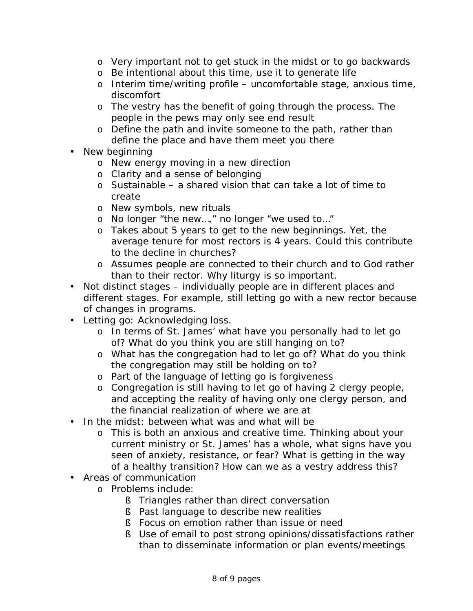- o Very important not to get stuck in the midst or to go backwards
- o Be intentional about this time, use it to generate life
- $\circ$  Interim time/writing profile uncomfortable stage, anxious time, discomfort
- o The vestry has the benefit of going through the process. The people in the pews may only see end result
- o Define the path and invite someone to the path, rather than define the place and have them meet you there
- New beginning
	- o New energy moving in a new direction
	- o Clarity and a sense of belonging
	- $\circ$  Sustainable a shared vision that can take a lot of time to create
	- o New symbols, new rituals
	- o No longer "the new…," no longer "we used to…"
	- o Takes about 5 years to get to the new beginnings. Yet, the average tenure for most rectors is 4 years. Could this contribute to the decline in churches?
	- o Assumes people are connected to their church and to God rather than to their rector. Why liturgy is so important.
- Not distinct stages individually people are in different places and different stages. For example, still letting go with a new rector because of changes in programs.
- Letting go: Acknowledging loss.
	- o In terms of St. James' what have you personally had to let go of? What do you think you are still hanging on to?
	- o What has the congregation had to let go of? What do you think the congregation may still be holding on to?
	- o Part of the language of letting go is forgiveness
	- o Congregation is still having to let go of having 2 clergy people, and accepting the reality of having only one clergy person, and the financial realization of where we are at
- In the midst: between what was and what will be
	- o This is both an anxious and creative time. Thinking about your current ministry or St. James' has a whole, what signs have you seen of anxiety, resistance, or fear? What is getting in the way of a healthy transition? How can we as a vestry address this?
- Areas of communication
	- o Problems include:
		- § Triangles rather than direct conversation
		- § Past language to describe new realities
		- § Focus on emotion rather than issue or need
		- § Use of email to post strong opinions/dissatisfactions rather than to disseminate information or plan events/meetings